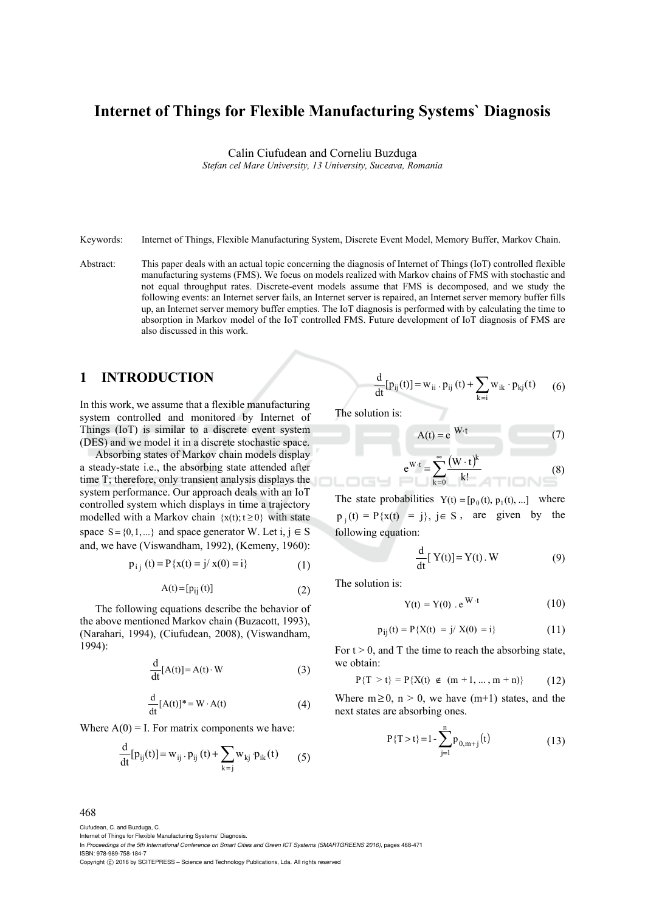# **Internet of Things for Flexible Manufacturing Systems` Diagnosis**

Calin Ciufudean and Corneliu Buzduga

*Stefan cel Mare University, 13 University, Suceava, Romania* 

Keywords: Internet of Things, Flexible Manufacturing System, Discrete Event Model, Memory Buffer, Markov Chain.

Abstract: This paper deals with an actual topic concerning the diagnosis of Internet of Things (IoT) controlled flexible manufacturing systems (FMS). We focus on models realized with Markov chains of FMS with stochastic and not equal throughput rates. Discrete-event models assume that FMS is decomposed, and we study the following events: an Internet server fails, an Internet server is repaired, an Internet server memory buffer fills up, an Internet server memory buffer empties. The IoT diagnosis is performed with by calculating the time to absorption in Markov model of the IoT controlled FMS. Future development of IoT diagnosis of FMS are also discussed in this work.

### **1 INTRODUCTION**

In this work, we assume that a flexible manufacturing system controlled and monitored by Internet of Things (IoT) is similar to a discrete event system (DES) and we model it in a discrete stochastic space.

Absorbing states of Markov chain models display a steady-state i.e., the absorbing state attended after time T; therefore, only transient analysis displays the system performance. Our approach deals with an IoT controlled system which displays in time a trajectory modelled with a Markov chain  $\{x(t); t \ge 0\}$  with state space  $S = \{0, 1, ...\}$  and space generator W. Let i,  $j \in S$ and, we have (Viswandham, 1992), (Kemeny, 1960):

$$
p_{i j}(t) = P\{x(t) = j / x(0) = i\}
$$
 (1)

$$
A(t) = [p_{ij}(t)] \tag{2}
$$

The following equations describe the behavior of the above mentioned Markov chain (Buzacott, 1993), (Narahari, 1994), (Ciufudean, 2008), (Viswandham, 1994):

$$
\frac{d}{dt}[A(t)] = A(t) \cdot W
$$
 (3)

$$
\frac{d}{dt}[A(t)]^* = W \cdot A(t)
$$
 (4)

Where  $A(0) = I$ . For matrix components we have:

$$
\frac{d}{dt}[p_{ij}(t)] = w_{ij} \cdot p_{ij}(t) + \sum_{k=j} w_{kj} \cdot p_{ik}(t) \qquad (5)
$$

$$
\frac{d}{dt}[p_{ij}(t)] = w_{ii} \cdot p_{ij}(t) + \sum_{k=i} w_{ik} \cdot p_{kj}(t) \qquad (6)
$$

The solution is:

$$
A(t) = e^{W \cdot t}
$$
\n
$$
e^{W \cdot t} = \sum_{k=0}^{\infty} \frac{(W \cdot t)^k}{k!}
$$
\n(8)

The state probabilities  $Y(t) = [p_0(t), p_1(t),...]$  where  $p_1(t) = P(x(t)) = i$ ,  $i \in S$ , are given by the following equation:

$$
\frac{d}{dt} [Y(t)] = Y(t) . W \tag{9}
$$

The solution is:

$$
Y(t) = Y(0) \cdot e^{W \cdot t} \tag{10}
$$

$$
p_{ij}(t) = P\{X(t) = j / X(0) = i\}
$$
 (11)

For  $t > 0$ , and T the time to reach the absorbing state, we obtain:

$$
P\{T > t\} = P\{X(t) \notin (m+1, ..., m+n)\}\tag{12}
$$

Where  $m \ge 0$ ,  $n > 0$ , we have  $(m+1)$  states, and the next states are absorbing ones.

$$
P\{T > t\} = 1 - \sum_{j=1}^{n} p_{0,m+j}(t)
$$
 (13)

468

Ciufudean, C. and Buzduga, C.

Internet of Things for Flexible Manufacturing Systems' Diagnosis.

In *Proceedings of the 5th International Conference on Smart Cities and Green ICT Systems (SMARTGREENS 2016)*, pages 468-471 ISBN: 978-989-758-184-7

Copyright (C) 2016 by SCITEPRESS - Science and Technology Publications, Lda. All rights reserved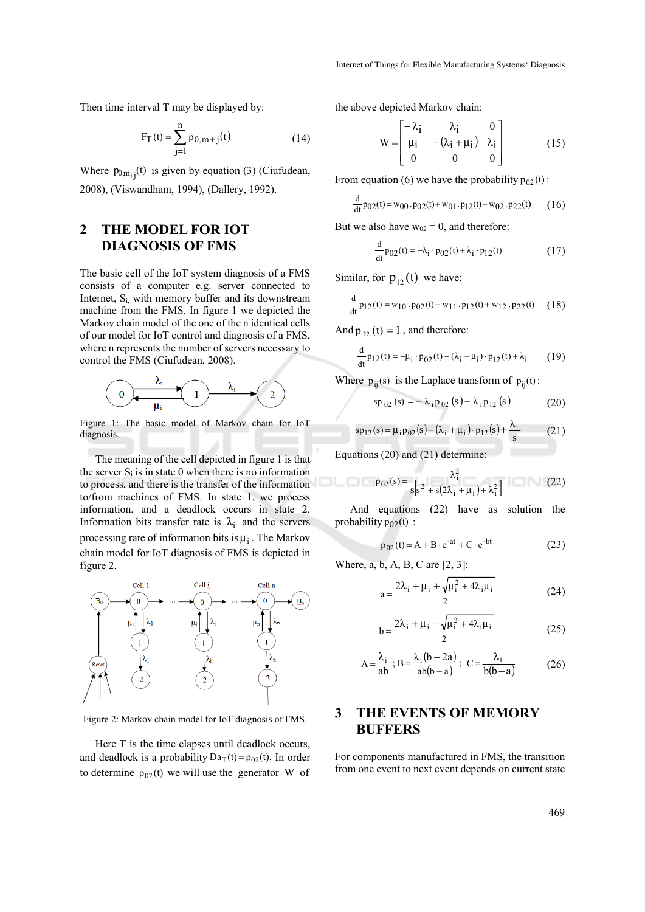Then time interval T may be displayed by:

$$
F_T(t) = \sum_{j=1}^{n} p_{0,m+j}(t)
$$
 (14)

Where  $p_{0,m_{+i}}(t)$  is given by equation (3) (Ciufudean, 2008), (Viswandham, 1994), (Dallery, 1992).

### **2 THE MODEL FOR IOT DIAGNOSIS OF FMS**

The basic cell of the IoT system diagnosis of a FMS consists of a computer e.g. server connected to Internet,  $S_i$  with memory buffer and its downstream machine from the FMS. In figure 1 we depicted the Markov chain model of the one of the n identical cells of our model for IoT control and diagnosis of a FMS, where n represents the number of servers necessary to control the FMS (Ciufudean, 2008).



Figure 1: The basic model of Markov chain for IoT diagnosis.

The meaning of the cell depicted in figure 1 is that the server  $S_i$  is in state 0 when there is no information to process, and there is the transfer of the information to/from machines of FMS. In state 1, we process information, and a deadlock occurs in state 2. Information bits transfer rate is  $\lambda_i$  and the servers processing rate of information bits is  $\mu_i$ . The Markov chain model for IoT diagnosis of FMS is depicted in figure 2.



Figure 2: Markov chain model for IoT diagnosis of FMS.

Here T is the time elapses until deadlock occurs, and deadlock is a probability  $Da_T(t) = p_{02}(t)$ . In order to determine  $p_{02}(t)$  we will use the generator W of the above depicted Markov chain:

$$
W = \begin{bmatrix} -\lambda_i & \lambda_i & 0 \\ \mu_i & -(\lambda_i + \mu_i) & \lambda_i \\ 0 & 0 & 0 \end{bmatrix}
$$
 (15)

From equation (6) we have the probability  $p_{02}(t)$ :

$$
\frac{d}{dt} p_{02}(t) = w_{00} \cdot p_{02}(t) + w_{01} \cdot p_{12}(t) + w_{02} \cdot p_{22}(t) \qquad (16)
$$

But we also have  $w_{02} = 0$ , and therefore:

$$
\frac{d}{dt} p_{02}(t) = -\lambda_i \cdot p_{02}(t) + \lambda_i \cdot p_{12}(t)
$$
 (17)

Similar, for  $p_{12}(t)$  we have:

$$
\frac{d}{dt}p_{12}(t) = w_{10} \cdot p_{02}(t) + w_{11} \cdot p_{12}(t) + w_{12} \cdot p_{22}(t) \quad (18)
$$

And  $p_{22} (t) = 1$ , and therefore:

$$
\frac{d}{dt} p_{12}(t) = -\mu_i \cdot p_{02}(t) - (\lambda_i + \mu_i) \cdot p_{12}(t) + \lambda_i \tag{19}
$$

Where  $p_{ii}(s)$  is the Laplace transform of  $p_{ii}(t)$ :

$$
sp_{02}(s) = -\lambda_{i} p_{02}(s) + \lambda_{i} p_{12}(s)
$$
 (20)

$$
sp_{12}(s) = \mu_1 p_{02}(s) - (\lambda_1 + \mu_1) \cdot p_{12}(s) + \frac{\lambda_1}{s}
$$
 (21)

Equations (20) and (21) determine:

oLo

$$
p_{02}(s) = \frac{\lambda_i^2}{s[s^2 + s(2\lambda_i + \mu_i) + \lambda_i^2]}
$$
 (22)

And equations (22) have as solution the probability  $p_{02}(t)$ :

$$
p_{02}(t) = A + B \cdot e^{-at} + C \cdot e^{-bt}
$$
 (23)

Where, a, b, A, B, C are [2, 3]:

$$
a = \frac{2\lambda_i + \mu_i + \sqrt{\mu_i^2 + 4\lambda_i\mu_i}}{2}
$$
 (24)

$$
b = \frac{2\lambda_i + \mu_i - \sqrt{\mu_i^2 + 4\lambda_i\mu_i}}{2}
$$
 (25)

$$
A = \frac{\lambda_i}{ab}; B = \frac{\lambda_i (b - 2a)}{ab(b - a)}; C = \frac{\lambda_i}{b(b - a)}
$$
(26)

## **3 THE EVENTS OF MEMORY BUFFERS**

For components manufactured in FMS, the transition from one event to next event depends on current state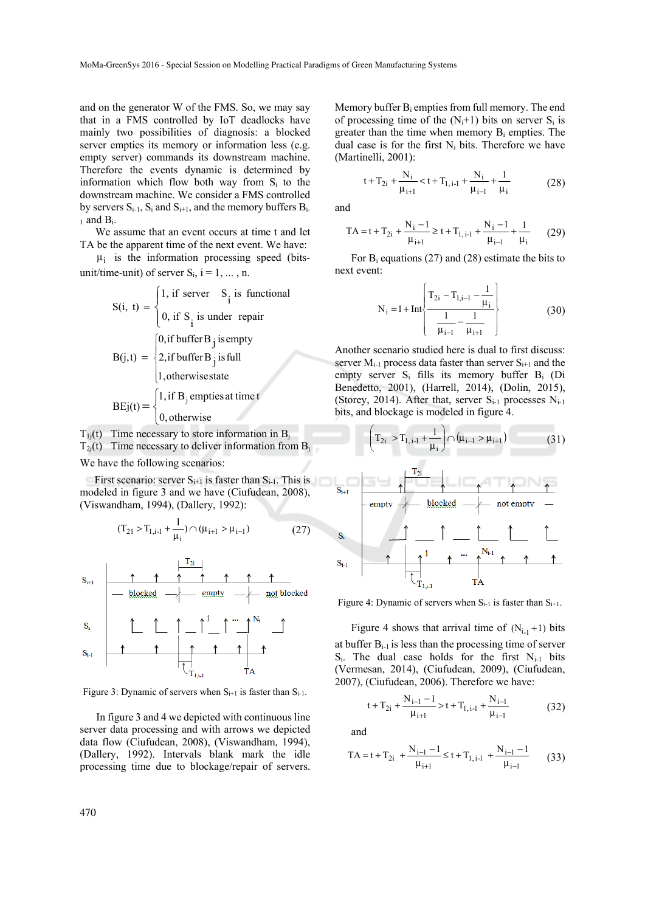and on the generator W of the FMS. So, we may say that in a FMS controlled by IoT deadlocks have mainly two possibilities of diagnosis: a blocked server empties its memory or information less (e.g. empty server) commands its downstream machine. Therefore the events dynamic is determined by information which flow both way from  $S_i$  to the downstream machine. We consider a FMS controlled by servers  $S_{i-1}$ ,  $S_i$  and  $S_{i+1}$ , and the memory buffers  $B_i$ .  $_1$  and  $B_i$ .

We assume that an event occurs at time t and let TA be the apparent time of the next event. We have:

 $\mu_i$  is the information processing speed (bitsunit/time-unit) of server  $S_i$ ,  $i = 1, \dots, n$ .

$$
S(i, t) = \begin{cases} 1, \text{ if server} & S_i \text{ is functional} \\ 0, \text{ if } S_i \text{ is under repair} \end{cases}
$$
  

$$
B(j,t) = \begin{cases} 0, \text{ if buffer B } j \text{ is fully} \\ 2, \text{ if buffer B } j \text{ is full} \\ 1, \text{ otherwise state} \end{cases}
$$
  

$$
BEj(t) = \begin{cases} 1, \text{ if B } j \text{ implies at time } t \\ 0, \text{ otherwise} \end{cases}
$$

 $T_{1i}(t)$  Time necessary to store information in B<sub>i</sub>

 $T_{2i}(t)$  Time necessary to deliver information from  $B_i$ 

We have the following scenarios:

First scenario: server  $S_{i+1}$  is faster than  $S_{i-1}$ . This is modeled in figure 3 and we have (Ciufudean, 2008), (Viswandham, 1994), (Dallery, 1992):

$$
(T_{21} > T_{1,i-1} + \frac{1}{\mu_i}) \cap (\mu_{i+1} > \mu_{i-1})
$$
 (27)



Figure 3: Dynamic of servers when  $S_{i+1}$  is faster than  $S_{i-1}$ .

In figure 3 and 4 we depicted with continuous line server data processing and with arrows we depicted data flow (Ciufudean, 2008), (Viswandham, 1994), (Dallery, 1992). Intervals blank mark the idle processing time due to blockage/repair of servers.

Memory buffer  $B_i$  empties from full memory. The end of processing time of the  $(N_i+1)$  bits on server  $S_i$  is greater than the time when memory  $B_i$  empties. The dual case is for the first  $N_i$  bits. Therefore we have (Martinelli, 2001):

$$
t + T_{2i} + \frac{N_i}{\mu_{i+1}} < t + T_{1,i-1} + \frac{N_i}{\mu_{i-1}} + \frac{1}{\mu_i}
$$
 (28)

and

$$
TA = t + T_{2i} + \frac{N_i - 1}{\mu_{i+1}} \ge t + T_{1, i-1} + \frac{N_i - 1}{\mu_{i-1}} + \frac{1}{\mu_i}
$$
 (29)

For Bi equations (27) and (28) estimate the bits to next event:

$$
N_{i} = 1 + Int \left\{ \frac{T_{2i} - T_{1,i-1} - \frac{1}{\mu_{i}}}{\frac{1}{\mu_{i-1}} - \frac{1}{\mu_{i+1}}} \right\}
$$
(30)

Another scenario studied here is dual to first discuss: server  $M_{i-1}$  process data faster than server  $S_{i+1}$  and the empty server Si fills its memory buffer Bi (Di Benedetto, 2001), (Harrell, 2014), (Dolin, 2015), (Storey, 2014). After that, server  $S_{i-1}$  processes  $N_{i-1}$ bits, and blockage is modeled in figure 4.

$$
\left(T_{2i} > T_{1,i-1} + \frac{1}{\mu_i}\right) \cap (\mu_{i-1} > \mu_{i+1})
$$
\n(31)



Figure 4: Dynamic of servers when  $S_{i-1}$  is faster than  $S_{i+1}$ .

Figure 4 shows that arrival time of  $(N_{i-1}+1)$  bits at buffer Bi-1 is less than the processing time of server S<sub>i</sub>. The dual case holds for the first N<sub>i-1</sub> bits (Vermesan, 2014), (Ciufudean, 2009), (Ciufudean, 2007), (Ciufudean, 2006). Therefore we have:

$$
t + T_{2i} + \frac{N_{i-1} - 1}{\mu_{i+1}} > t + T_{1,i-1} + \frac{N_{i-1}}{\mu_{i-1}}
$$
(32)

and

$$
TA = t + T_{2i} + \frac{N_{i-1} - 1}{\mu_{i+1}} \le t + T_{1, i-1} + \frac{N_{i-1} - 1}{\mu_{i-1}} \tag{33}
$$